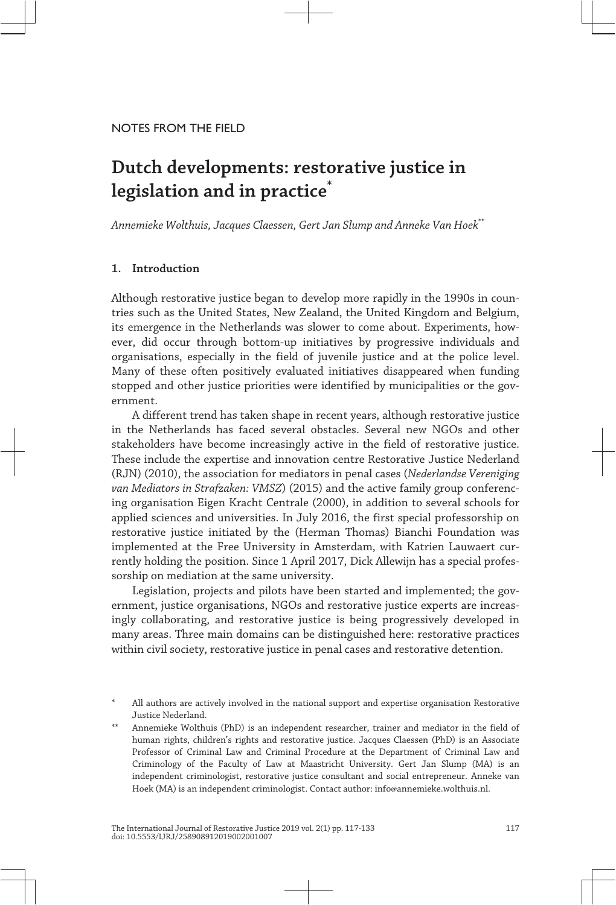## NOTES FROM THE FIELD

# **Dutch developments: restorative justice in legislation and in practice\***

*Annemieke Wolthuis, Jacques Claessen, Gert Jan Slump and Anneke Van Hoek*\*\*

# **1. Introduction**

Although restorative justice began to develop more rapidly in the 1990s in coun‐ tries such as the United States, New Zealand, the United Kingdom and Belgium, its emergence in the Netherlands was slower to come about. Experiments, however, did occur through bottom-up initiatives by progressive individuals and organisations, especially in the field of juvenile justice and at the police level. Many of these often positively evaluated initiatives disappeared when funding stopped and other justice priorities were identified by municipalities or the government.

A different trend has taken shape in recent years, although restorative justice in the Netherlands has faced several obstacles. Several new NGOs and other stakeholders have become increasingly active in the field of restorative justice. These include the expertise and innovation centre Restorative Justice Nederland (RJN) (2010), the association for mediators in penal cases (*Nederlandse Vereniging van Mediators in Strafzaken: VMSZ*) (2015) and the active family group conferenc‐ ing organisation Eigen Kracht Centrale (2000), in addition to several schools for applied sciences and universities. In July 2016, the first special professorship on restorative justice initiated by the (Herman Thomas) Bianchi Foundation was implemented at the Free University in Amsterdam, with Katrien Lauwaert currently holding the position. Since 1 April 2017, Dick Allewijn has a special profes‐ sorship on mediation at the same university.

Legislation, projects and pilots have been started and implemented; the government, justice organisations, NGOs and restorative justice experts are increas‐ ingly collaborating, and restorative justice is being progressively developed in many areas. Three main domains can be distinguished here: restorative practices within civil society, restorative justice in penal cases and restorative detention.

All authors are actively involved in the national support and expertise organisation Restorative Justice Nederland.

Annemieke Wolthuis (PhD) is an independent researcher, trainer and mediator in the field of human rights, children's rights and restorative justice. Jacques Claessen (PhD) is an Associate Professor of Criminal Law and Criminal Procedure at the Department of Criminal Law and Criminology of the Faculty of Law at Maastricht University. Gert Jan Slump (MA) is an independent criminologist, restorative justice consultant and social entrepreneur. Anneke van Hoek (MA) is an independent criminologist. Contact author: info@annemieke.wolthuis.nl.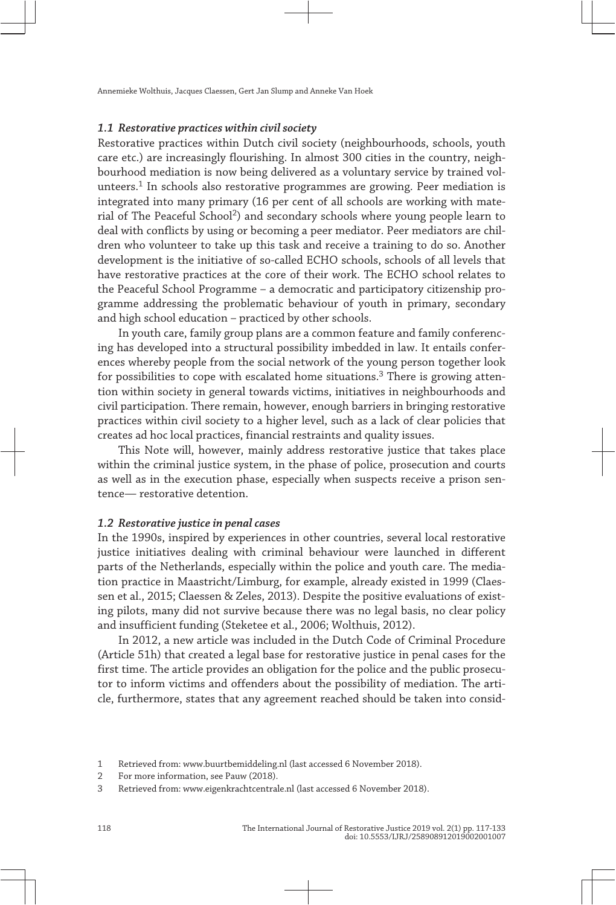### **1.1 Restorative practices within civil society**

Restorative practices within Dutch civil society (neighbourhoods, schools, youth care etc.) are increasingly flourishing. In almost 300 cities in the country, neighbourhood mediation is now being delivered as a voluntary service by trained volunteers.<sup>1</sup> In schools also restorative programmes are growing. Peer mediation is integrated into many primary (16 per cent of all schools are working with mate‐ rial of The Peaceful School2) and secondary schools where young people learn to deal with conflicts by using or becoming a peer mediator. Peer mediators are children who volunteer to take up this task and receive a training to do so. Another development is the initiative of so-called ECHO schools, schools of all levels that have restorative practices at the core of their work. The ECHO school relates to the Peaceful School Programme – a democratic and participatory citizenship pro‐ gramme addressing the problematic behaviour of youth in primary, secondary and high school education – practiced by other schools.

In youth care, family group plans are a common feature and family conferenc‐ ing has developed into a structural possibility imbedded in law. It entails confer‐ ences whereby people from the social network of the young person together look for possibilities to cope with escalated home situations.<sup>3</sup> There is growing attention within society in general towards victims, initiatives in neighbourhoods and civil participation. There remain, however, enough barriers in bringing restorative practices within civil society to a higher level, such as a lack of clear policies that creates ad hoc local practices, financial restraints and quality issues.

This Note will, however, mainly address restorative justice that takes place within the criminal justice system, in the phase of police, prosecution and courts as well as in the execution phase, especially when suspects receive a prison sentence— restorative detention.

## **1.2 Restorative justice in penal cases**

In the 1990s, inspired by experiences in other countries, several local restorative justice initiatives dealing with criminal behaviour were launched in different parts of the Netherlands, especially within the police and youth care. The media‐ tion practice in Maastricht/Limburg, for example, already existed in 1999 (Claes‐ sen et al., 2015; Claessen & Zeles, 2013). Despite the positive evaluations of existing pilots, many did not survive because there was no legal basis, no clear policy and insufficient funding (Steketee et al., 2006; Wolthuis, 2012).

In 2012, a new article was included in the Dutch Code of Criminal Procedure (Article 51h) that created a legal base for restorative justice in penal cases for the first time. The article provides an obligation for the police and the public prosecutor to inform victims and offenders about the possibility of mediation. The article, furthermore, states that any agreement reached should be taken into consid‐

<sup>1</sup> Retrieved from: [www. buurtbemiddeling. nl](http://www.buurtbemiddeling.nl) (last accessed 6 November 2018).

<sup>2</sup> For more information, see Pauw (2018).

<sup>3</sup> Retrieved from: [www. eigenkrachtcentrale. nl](http://www.eigenkrachtcentrale.nl) (last accessed 6 November 2018).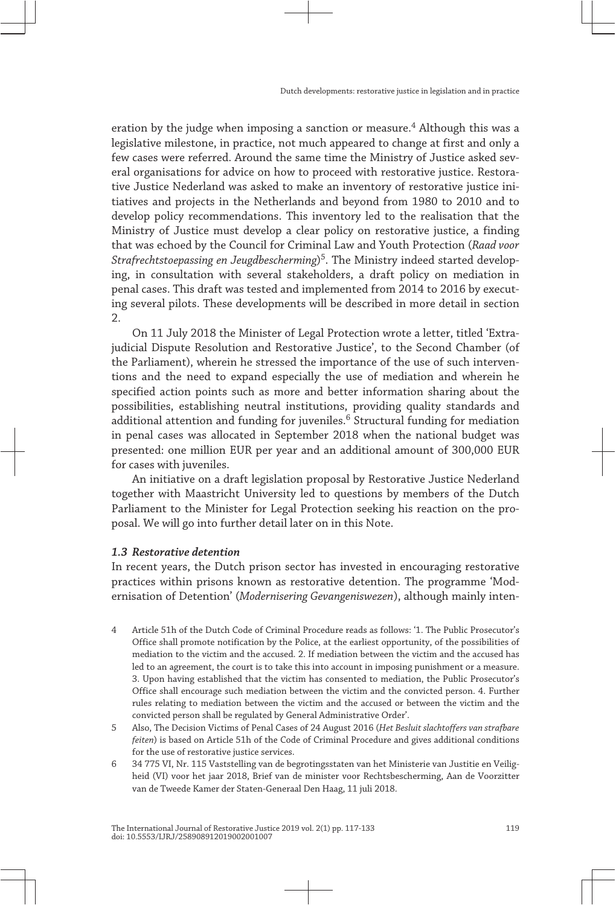eration by the judge when imposing a sanction or measure.<sup>4</sup> Although this was a legislative milestone, in practice, not much appeared to change at first and only a few cases were referred. Around the same time the Ministry of Justice asked several organisations for advice on how to proceed with restorative justice. Restorative Justice Nederland was asked to make an inventory of restorative justice ini‐ tiatives and projects in the Netherlands and beyond from 1980 to 2010 and to develop policy recommendations. This inventory led to the realisation that the Ministry of Justice must develop a clear policy on restorative justice, a finding that was echoed by the Council for Criminal Law and Youth Protection (*Raad voor Strafrechtstoepassing en Jeugdbescherming*) 5. The Ministry indeed started develop‐ ing, in consultation with several stakeholders, a draft policy on mediation in penal cases. This draft was tested and implemented from 2014 to 2016 by execut‐ ing several pilots. These developments will be described in more detail in section 2.

On 11 July 2018 the Minister of Legal Protection wrote a letter, titled 'Extra‐ judicial Dispute Resolution and Restorative Justice', to the Second Chamber (of the Parliament), wherein he stressed the importance of the use of such interventions and the need to expand especially the use of mediation and wherein he specified action points such as more and better information sharing about the possibilities, establishing neutral institutions, providing quality standards and additional attention and funding for juveniles.<sup>6</sup> Structural funding for mediation in penal cases was allocated in September 2018 when the national budget was presented: one million EUR per year and an additional amount of 300,000 EUR for cases with juveniles.

An initiative on a draft legislation proposal by Restorative Justice Nederland together with Maastricht University led to questions by members of the Dutch Parliament to the Minister for Legal Protection seeking his reaction on the proposal. We will go into further detail later on in this Note.

## **1.3 Restorative detention**

In recent years, the Dutch prison sector has invested in encouraging restorative practices within prisons known as restorative detention. The programme 'Mod‐ ernisation of Detention' (*Modernisering Gevangeniswezen*), although mainly inten‐

- 4 Article 51h of the Dutch Code of Criminal Procedure reads as follows: '1. The Public Prosecutor's Office shall promote notification by the Police, at the earliest opportunity, of the possibilities of mediation to the victim and the accused. 2. If mediation between the victim and the accused has led to an agreement, the court is to take this into account in imposing punishment or a measure. 3. Upon having established that the victim has consented to mediation, the Public Prosecutor's Office shall encourage such mediation between the victim and the convicted person. 4. Further rules relating to mediation between the victim and the accused or between the victim and the convicted person shall be regulated by General Administrative Order'.
- 5 Also, The Decision Victims of Penal Cases of 24 August 2016 (*Het Besluit slachtoffers van strafbare feiten*) is based on Article 51h of the Code of Criminal Procedure and gives additional conditions for the use of restorative justice services.
- 6 34 775 VI, Nr. 115 Vaststelling van de begrotingsstaten van het Ministerie van Justitie en Veilig‐ heid (VI) voor het jaar 2018, Brief van de minister voor Rechtsbescherming, Aan de Voorzitter van de Tweede Kamer der Staten-Generaal Den Haag, 11 juli 2018.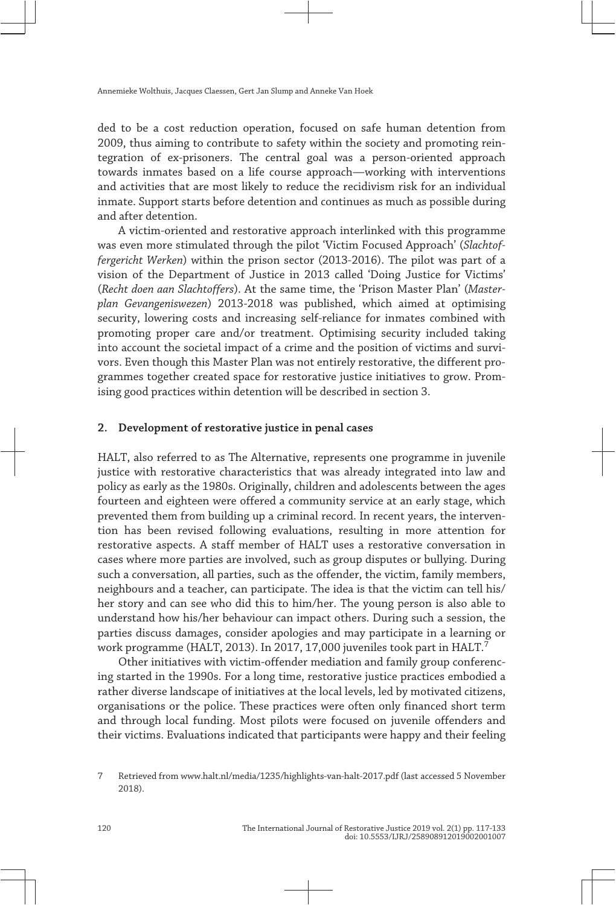ded to be a cost reduction operation, focused on safe human detention from 2009, thus aiming to contribute to safety within the society and promoting rein‐ tegration of ex-prisoners. The central goal was a person-oriented approach towards inmates based on a life course approach—working with interventions and activities that are most likely to reduce the recidivism risk for an individual inmate. Support starts before detention and continues as much as possible during and after detention.

A victim-oriented and restorative approach interlinked with this programme was even more stimulated through the pilot 'Victim Focused Approach' (*Slachtof‐ fergericht Werken*) within the prison sector (2013-2016). The pilot was part of a vision of the Department of Justice in 2013 called 'Doing Justice for Victims' (*Recht doen aan Slachtoffers*). At the same time, the 'Prison Master Plan' (*Master‐ plan Gevangeniswezen*) 2013-2018 was published, which aimed at optimising security, lowering costs and increasing self-reliance for inmates combined with promoting proper care and/or treatment. Optimising security included taking into account the societal impact of a crime and the position of victims and survivors. Even though this Master Plan was not entirely restorative, the different pro‐ grammes together created space for restorative justice initiatives to grow. Prom‐ ising good practices within detention will be described in section 3.

## **2. Development of restorative justice in penal cases**

HALT, also referred to as The Alternative, represents one programme in juvenile justice with restorative characteristics that was already integrated into law and policy as early as the 1980s. Originally, children and adolescents between the ages fourteen and eighteen were offered a community service at an early stage, which prevented them from building up a criminal record. In recent years, the intervention has been revised following evaluations, resulting in more attention for restorative aspects. A staff member of HALT uses a restorative conversation in cases where more parties are involved, such as group disputes or bullying. During such a conversation, all parties, such as the offender, the victim, family members, neighbours and a teacher, can participate. The idea is that the victim can tell his/ her story and can see who did this to him/her. The young person is also able to understand how his/her behaviour can impact others. During such a session, the parties discuss damages, consider apologies and may participate in a learning or work programme (HALT, 2013). In 2017, 17,000 juveniles took part in HALT.7

Other initiatives with victim-offender mediation and family group conferenc‐ ing started in the 1990s. For a long time, restorative justice practices embodied a rather diverse landscape of initiatives at the local levels, led by motivated citizens, organisations or the police. These practices were often only financed short term and through local funding. Most pilots were focused on juvenile offenders and their victims. Evaluations indicated that participants were happy and their feeling

<sup>7</sup> Retrieved from [www. halt. nl/ media/ 1235/ highlights -van -halt -2017. pdf](http://www.halt.nl/media/1235/highlights-van-halt-2017.pdf) (last accessed 5 November 2018).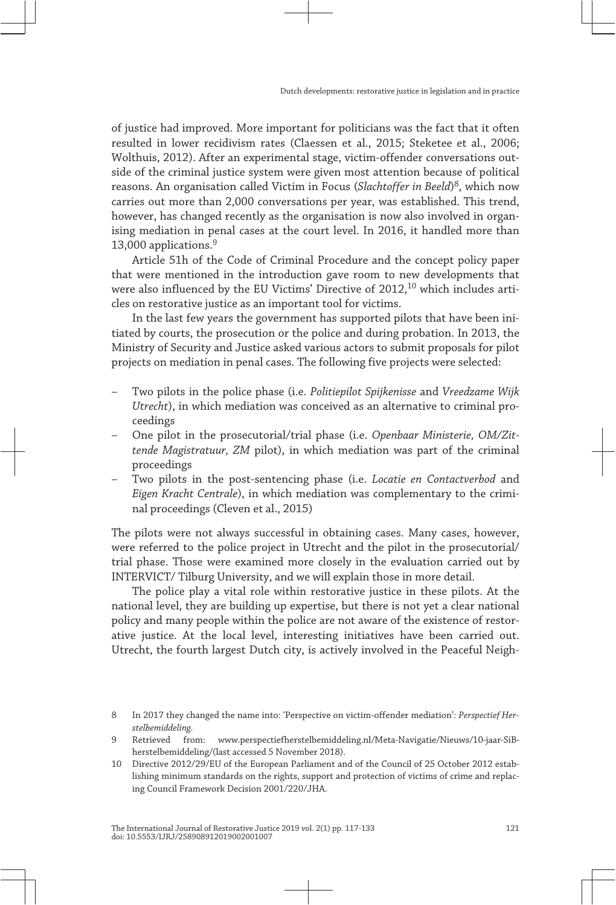of justice had improved. More important for politicians was the fact that it often resulted in lower recidivism rates (Claessen et al., 2015; Steketee et al., 2006; Wolthuis, 2012). After an experimental stage, victim-offender conversations outside of the criminal justice system were given most attention because of political reasons. An organisation called Victim in Focus (*Slachtoffer in Beeld*) 8, which now carries out more than 2,000 conversations per year, was established. This trend, however, has changed recently as the organisation is now also involved in organising mediation in penal cases at the court level. In 2016, it handled more than 13,000 applications.<sup>9</sup>

Article 51h of the Code of Criminal Procedure and the concept policy paper that were mentioned in the introduction gave room to new developments that were also influenced by the EU Victims' Directive of  $2012$ ,  $10$  which includes articles on restorative justice as an important tool for victims.

In the last few years the government has supported pilots that have been initiated by courts, the prosecution or the police and during probation. In 2013, the Ministry of Security and Justice asked various actors to submit proposals for pilot projects on mediation in penal cases. The following five projects were selected:

- Two pilots in the police phase (i.e. *Politiepilot Spijkenisse* and *Vreedzame Wijk Utrecht*), in which mediation was conceived as an alternative to criminal pro‐ ceedings
- One pilot in the prosecutorial/trial phase (i.e. *Openbaar Ministerie, OM/Zit‐ tende Magistratuur, ZM* pilot), in which mediation was part of the criminal proceedings
- Two pilots in the post-sentencing phase (i.e. *Locatie en Contactverbod* and *Eigen Kracht Centrale*), in which mediation was complementary to the crimi‐ nal proceedings (Cleven et al., 2015)

The pilots were not always successful in obtaining cases. Many cases, however, were referred to the police project in Utrecht and the pilot in the prosecutorial/ trial phase. Those were examined more closely in the evaluation carried out by INTERVICT/ Tilburg University, and we will explain those in more detail.

The police play a vital role within restorative justice in these pilots. At the national level, they are building up expertise, but there is not yet a clear national policy and many people within the police are not aware of the existence of restorative justice. At the local level, interesting initiatives have been carried out. Utrecht, the fourth largest Dutch city, is actively involved in the Peaceful Neigh‐

<sup>8</sup> In 2017 they changed the name into: 'Perspective on victim-offender mediation': *Perspectief Her‐ stelbemiddeling.*

Retrieved from: www.perspectiefherstelbemiddeling.nl/Meta-Navigatie/Nieuws/10-jaar-SiBherstelbemiddeling/(last accessed 5 November 2018).

<sup>10</sup> Directive 2012/29/EU of the European Parliament and of the Council of 25 October 2012 estab‐ lishing minimum standards on the rights, support and protection of victims of crime and replac‐ ing Council Framework Decision 2001/220/JHA.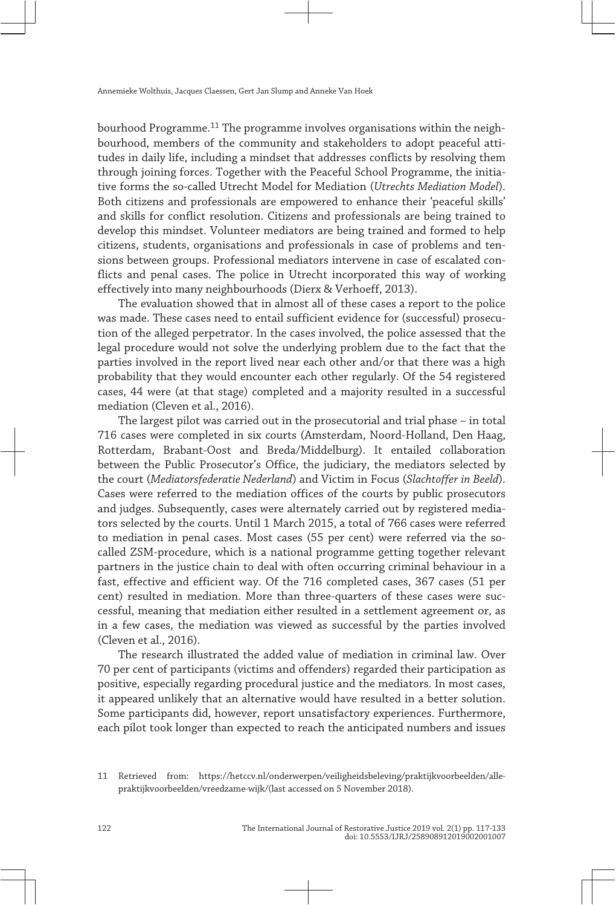bourhood Programme.<sup>11</sup> The programme involves organisations within the neighbourhood, members of the community and stakeholders to adopt peaceful attitudes in daily life, including a mindset that addresses conflicts by resolving them through joining forces. Together with the Peaceful School Programme, the initiative forms the so-called Utrecht Model for Mediation (*Utrechts Mediation Model*). Both citizens and professionals are empowered to enhance their 'peaceful skills' and skills for conflict resolution. Citizens and professionals are being trained to develop this mindset. Volunteer mediators are being trained and formed to help citizens, students, organisations and professionals in case of problems and ten‐ sions between groups. Professional mediators intervene in case of escalated conflicts and penal cases. The police in Utrecht incorporated this way of working effectively into many neighbourhoods (Dierx & Verhoeff, 2013).

The evaluation showed that in almost all of these cases a report to the police was made. These cases need to entail sufficient evidence for (successful) prosecution of the alleged perpetrator. In the cases involved, the police assessed that the legal procedure would not solve the underlying problem due to the fact that the parties involved in the report lived near each other and/or that there was a high probability that they would encounter each other regularly. Of the 54 registered cases, 44 were (at that stage) completed and a majority resulted in a successful mediation (Cleven et al., 2016).

The largest pilot was carried out in the prosecutorial and trial phase – in total 716 cases were completed in six courts (Amsterdam, Noord-Holland, Den Haag, Rotterdam, Brabant-Oost and Breda/Middelburg). It entailed collaboration between the Public Prosecutor's Office, the judiciary, the mediators selected by the court (*Mediatorsfederatie Nederland*) and Victim in Focus (*Slachtoffer in Beeld*). Cases were referred to the mediation offices of the courts by public prosecutors and judges. Subsequently, cases were alternately carried out by registered media‐ tors selected by the courts. Until 1 March 2015, a total of 766 cases were referred to mediation in penal cases. Most cases (55 per cent) were referred via the socalled ZSM-procedure, which is a national programme getting together relevant partners in the justice chain to deal with often occurring criminal behaviour in a fast, effective and efficient way. Of the 716 completed cases, 367 cases (51 per cent) resulted in mediation. More than three-quarters of these cases were successful, meaning that mediation either resulted in a settlement agreement or, as in a few cases, the mediation was viewed as successful by the parties involved (Cleven et al., 2016).

The research illustrated the added value of mediation in criminal law. Over 70 per cent of participants (victims and offenders) regarded their participation as positive, especially regarding procedural justice and the mediators. In most cases, it appeared unlikely that an alternative would have resulted in a better solution. Some participants did, however, report unsatisfactory experiences. Furthermore, each pilot took longer than expected to reach the anticipated numbers and issues

<sup>11</sup> Retrieved from: [https:// hetccv. nl/ onderwerpen/ veiligheidsbeleving/ praktijkvoorbeelden/ alle](https://hetccv.nl/onderwerpen/veiligheidsbeleving/praktijkvoorbeelden/alle-praktijkvoorbeelden/vreedzame-wijk/)  praktijkvoorbeelden/vreedzame-wijk/(last accessed on 5 November 2018).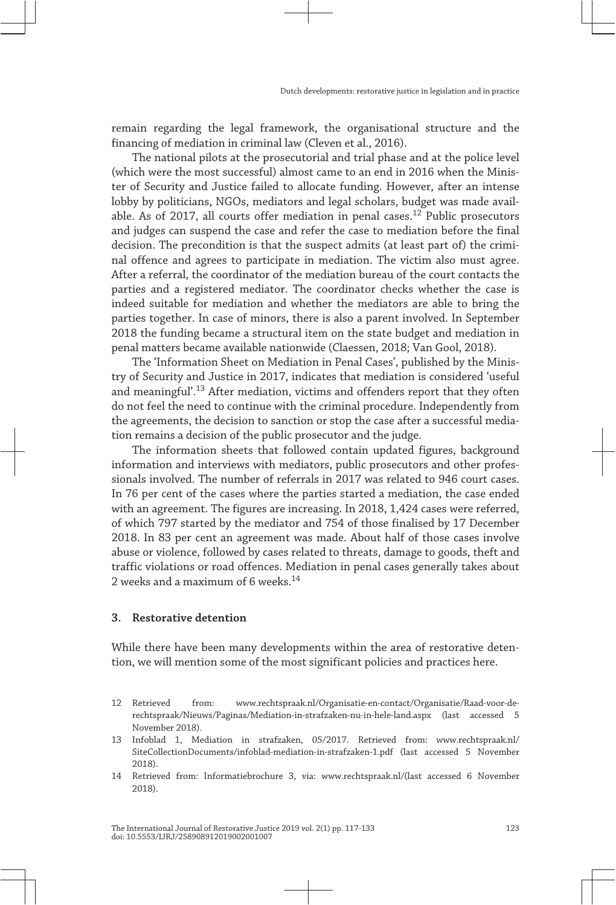remain regarding the legal framework, the organisational structure and the financing of mediation in criminal law (Cleven et al., 2016).

The national pilots at the prosecutorial and trial phase and at the police level (which were the most successful) almost came to an end in 2016 when the Minis‐ ter of Security and Justice failed to allocate funding. However, after an intense lobby by politicians, NGOs, mediators and legal scholars, budget was made avail‐ able. As of 2017, all courts offer mediation in penal cases.<sup>12</sup> Public prosecutors and judges can suspend the case and refer the case to mediation before the final decision. The precondition is that the suspect admits (at least part of) the criminal offence and agrees to participate in mediation. The victim also must agree. After a referral, the coordinator of the mediation bureau of the court contacts the parties and a registered mediator. The coordinator checks whether the case is indeed suitable for mediation and whether the mediators are able to bring the parties together. In case of minors, there is also a parent involved. In September 2018 the funding became a structural item on the state budget and mediation in penal matters became available nationwide (Claessen, 2018; Van Gool, 2018).

The 'Information Sheet on Mediation in Penal Cases', published by the Minis‐ try of Security and Justice in 2017, indicates that mediation is considered 'useful and meaningful'.<sup>13</sup> After mediation, victims and offenders report that they often do not feel the need to continue with the criminal procedure. Independently from the agreements, the decision to sanction or stop the case after a successful media‐ tion remains a decision of the public prosecutor and the judge.

The information sheets that followed contain updated figures, background information and interviews with mediators, public prosecutors and other profes‐ sionals involved. The number of referrals in 2017 was related to 946 court cases. In 76 per cent of the cases where the parties started a mediation, the case ended with an agreement. The figures are increasing. In 2018, 1,424 cases were referred, of which 797 started by the mediator and 754 of those finalised by 17 December 2018. In 83 per cent an agreement was made. About half of those cases involve abuse or violence, followed by cases related to threats, damage to goods, theft and traffic violations or road offences. Mediation in penal cases generally takes about 2 weeks and a maximum of 6 weeks.14

#### **3. Restorative detention**

While there have been many developments within the area of restorative detention, we will mention some of the most significant policies and practices here.

<sup>12</sup> Retrieved from: [www. rechtspraak. nl/ Organisatie -en -contact/ Organisatie/ Raad -voor -de](http://www.rechtspraak.nl/Organisatie-en-contact/Organisatie/Raad-voor-de-rechtspraak/Nieuws/Paginas/Mediation-in-strafzaken-nu-in-hele-land.aspx)  rechtspraak/Nieuws/Paginas/Mediation-in-strafzaken-nu-in-hele-land.aspx (last accessed 5 November 2018).

<sup>13</sup> Infoblad 1, Mediation in strafzaken, 05/2017. Retrieved from: [www. rechtspraak. nl/](http://www.rechtspraak.nl/SiteCollectionDocuments/infoblad-mediation-in-strafzaken-1.pdf) SiteCollectionDocuments/infoblad-mediation-in-strafzaken-1.pdf (last accessed 5 November 2018).

<sup>14</sup> Retrieved from: Informatiebrochure 3, via: [www. rechtspraak. nl/](http://www.rechtspraak.nl/) (last accessed 6 November 2018).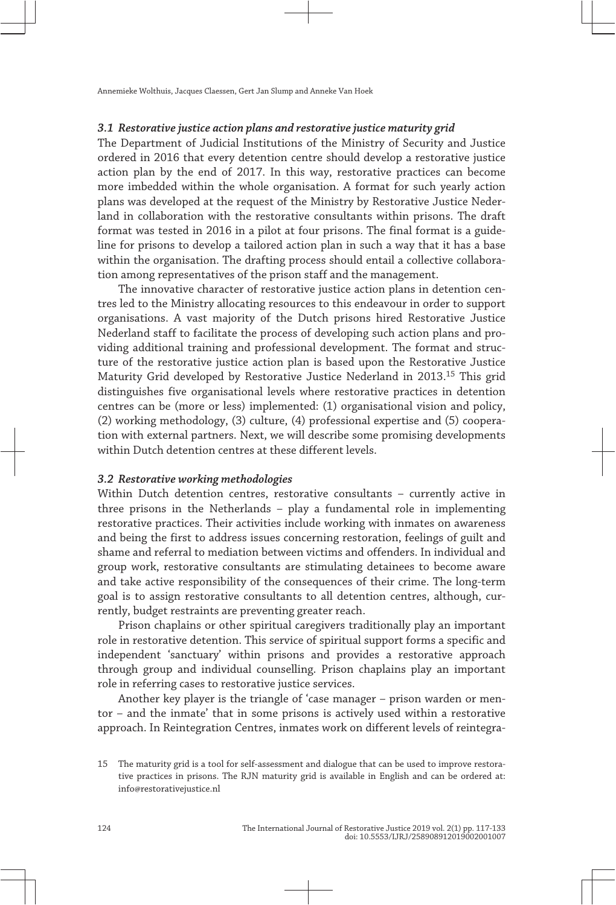#### **3.1 Restorative justice action plans and restorative justice maturity grid**

The Department of Judicial Institutions of the Ministry of Security and Justice ordered in 2016 that every detention centre should develop a restorative justice action plan by the end of 2017. In this way, restorative practices can become more imbedded within the whole organisation. A format for such yearly action plans was developed at the request of the Ministry by Restorative Justice Neder‐ land in collaboration with the restorative consultants within prisons. The draft format was tested in 2016 in a pilot at four prisons. The final format is a guide‐ line for prisons to develop a tailored action plan in such a way that it has a base within the organisation. The drafting process should entail a collective collaboration among representatives of the prison staff and the management.

The innovative character of restorative justice action plans in detention centres led to the Ministry allocating resources to this endeavour in order to support organisations. A vast majority of the Dutch prisons hired Restorative Justice Nederland staff to facilitate the process of developing such action plans and pro‐ viding additional training and professional development. The format and struc‐ ture of the restorative justice action plan is based upon the Restorative Justice Maturity Grid developed by Restorative Justice Nederland in 2013.15 This grid distinguishes five organisational levels where restorative practices in detention centres can be (more or less) implemented: (1) organisational vision and policy, (2) working methodology, (3) culture, (4) professional expertise and (5) coopera‐ tion with external partners. Next, we will describe some promising developments within Dutch detention centres at these different levels.

#### **3.2 Restorative working methodologies**

Within Dutch detention centres, restorative consultants – currently active in three prisons in the Netherlands – play a fundamental role in implementing restorative practices. Their activities include working with inmates on awareness and being the first to address issues concerning restoration, feelings of guilt and shame and referral to mediation between victims and offenders. In individual and group work, restorative consultants are stimulating detainees to become aware and take active responsibility of the consequences of their crime. The long-term goal is to assign restorative consultants to all detention centres, although, currently, budget restraints are preventing greater reach.

Prison chaplains or other spiritual caregivers traditionally play an important role in restorative detention. This service of spiritual support forms a specific and independent 'sanctuary' within prisons and provides a restorative approach through group and individual counselling. Prison chaplains play an important role in referring cases to restorative justice services.

Another key player is the triangle of 'case manager – prison warden or men‐ tor – and the inmate' that in some prisons is actively used within a restorative approach. In Reintegration Centres, inmates work on different levels of reintegra‐

<sup>15</sup> The maturity grid is a tool for self-assessment and dialogue that can be used to improve restora‐ tive practices in prisons. The RJN maturity grid is available in English and can be ordered at: info@restorativejustice.nl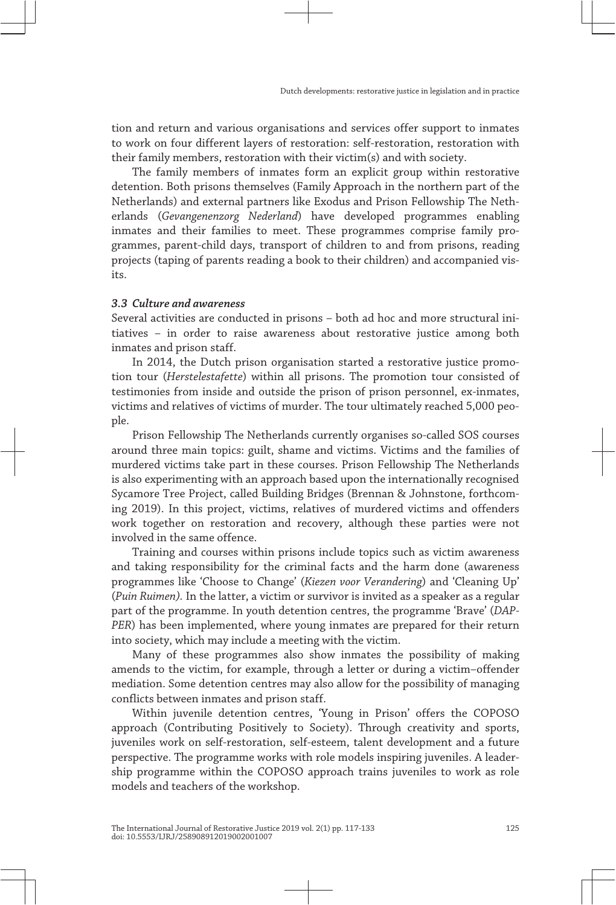tion and return and various organisations and services offer support to inmates to work on four different layers of restoration: self-restoration, restoration with their family members, restoration with their victim(s) and with society.

The family members of inmates form an explicit group within restorative detention. Both prisons themselves (Family Approach in the northern part of the Netherlands) and external partners like Exodus and Prison Fellowship The Neth‐ erlands (*Gevangenenzorg Nederland*) have developed programmes enabling inmates and their families to meet. These programmes comprise family programmes, parent-child days, transport of children to and from prisons, reading projects (taping of parents reading a book to their children) and accompanied visits.

# **3.3 Culture and awareness**

Several activities are conducted in prisons – both ad hoc and more structural ini‐ tiatives – in order to raise awareness about restorative justice among both inmates and prison staff.

In 2014, the Dutch prison organisation started a restorative justice promotion tour (*Herstelestafette*) within all prisons. The promotion tour consisted of testimonies from inside and outside the prison of prison personnel, ex-inmates, victims and relatives of victims of murder. The tour ultimately reached 5,000 peo‐ ple.

Prison Fellowship The Netherlands currently organises so-called SOS courses around three main topics: guilt, shame and victims. Victims and the families of murdered victims take part in these courses. Prison Fellowship The Netherlands is also experimenting with an approach based upon the internationally recognised Sycamore Tree Project, called Building Bridges (Brennan & Johnstone, forthcom‐ ing 2019). In this project, victims, relatives of murdered victims and offenders work together on restoration and recovery, although these parties were not involved in the same offence.

Training and courses within prisons include topics such as victim awareness and taking responsibility for the criminal facts and the harm done (awareness programmes like 'Choose to Change' (*Kiezen voor Verandering*) and 'Cleaning Up' (*Puin Ruimen).* In the latter, a victim or survivor is invited as a speaker as a regular part of the programme. In youth detention centres, the programme 'Brave' (*DAP‐ PER*) has been implemented, where young inmates are prepared for their return into society, which may include a meeting with the victim.

Many of these programmes also show inmates the possibility of making amends to the victim, for example, through a letter or during a victim–offender mediation. Some detention centres may also allow for the possibility of managing conflicts between inmates and prison staff.

Within juvenile detention centres, 'Young in Prison' offers the COPOSO approach (Contributing Positively to Society). Through creativity and sports, juveniles work on self-restoration, self-esteem, talent development and a future perspective. The programme works with role models inspiring juveniles. A leader‐ ship programme within the COPOSO approach trains juveniles to work as role models and teachers of the workshop.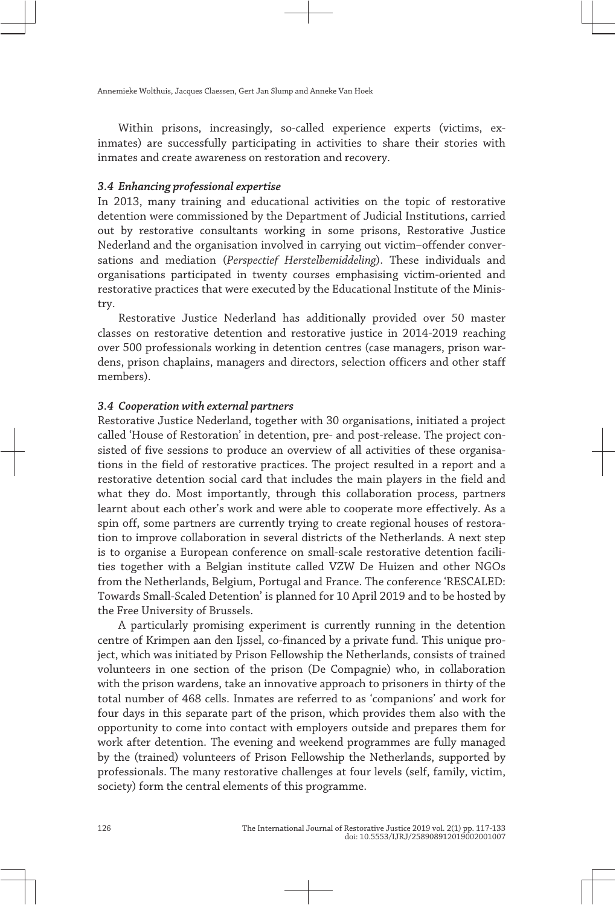Within prisons, increasingly, so-called experience experts (victims, exinmates) are successfully participating in activities to share their stories with inmates and create awareness on restoration and recovery.

# **3.4 Enhancing professional expertise**

In 2013, many training and educational activities on the topic of restorative detention were commissioned by the Department of Judicial Institutions, carried out by restorative consultants working in some prisons, Restorative Justice Nederland and the organisation involved in carrying out victim–offender conver‐ sations and mediation (*Perspectief Herstelbemiddeling*). These individuals and organisations participated in twenty courses emphasising victim-oriented and restorative practices that were executed by the Educational Institute of the Minis‐ try.

Restorative Justice Nederland has additionally provided over 50 master classes on restorative detention and restorative justice in 2014-2019 reaching over 500 professionals working in detention centres (case managers, prison war‐ dens, prison chaplains, managers and directors, selection officers and other staff members).

#### **3.4 Cooperation with external partners**

Restorative Justice Nederland, together with 30 organisations, initiated a project called 'House of Restoration' in detention, pre- and post-release. The project con‐ sisted of five sessions to produce an overview of all activities of these organisations in the field of restorative practices. The project resulted in a report and a restorative detention social card that includes the main players in the field and what they do. Most importantly, through this collaboration process, partners learnt about each other's work and were able to cooperate more effectively. As a spin off, some partners are currently trying to create regional houses of restoration to improve collaboration in several districts of the Netherlands. A next step is to organise a European conference on small-scale restorative detention facili‐ ties together with a Belgian institute called VZW De Huizen and other NGOs from the Netherlands, Belgium, Portugal and France. The conference 'RESCALED: Towards Small-Scaled Detention' is planned for 10 April 2019 and to be hosted by the Free University of Brussels.

A particularly promising experiment is currently running in the detention centre of Krimpen aan den Ijssel, co-financed by a private fund. This unique pro‐ ject, which was initiated by Prison Fellowship the Netherlands, consists of trained volunteers in one section of the prison (De Compagnie) who, in collaboration with the prison wardens, take an innovative approach to prisoners in thirty of the total number of 468 cells. Inmates are referred to as 'companions' and work for four days in this separate part of the prison, which provides them also with the opportunity to come into contact with employers outside and prepares them for work after detention. The evening and weekend programmes are fully managed by the (trained) volunteers of Prison Fellowship the Netherlands, supported by professionals. The many restorative challenges at four levels (self, family, victim, society) form the central elements of this programme.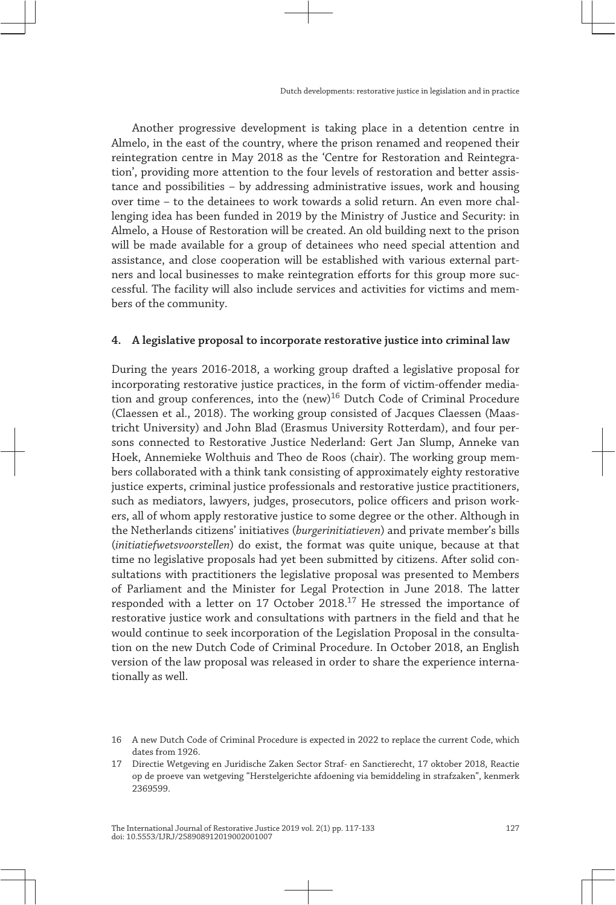Another progressive development is taking place in a detention centre in Almelo, in the east of the country, where the prison renamed and reopened their reintegration centre in May 2018 as the 'Centre for Restoration and Reintegra‐ tion', providing more attention to the four levels of restoration and better assis‐ tance and possibilities – by addressing administrative issues, work and housing over time – to the detainees to work towards a solid return. An even more chal‐ lenging idea has been funded in 2019 by the Ministry of Justice and Security: in Almelo, a House of Restoration will be created. An old building next to the prison will be made available for a group of detainees who need special attention and assistance, and close cooperation will be established with various external part‐ ners and local businesses to make reintegration efforts for this group more suc‐ cessful. The facility will also include services and activities for victims and mem‐ bers of the community.

## **4. A legislative proposal to incorporate restorative justice into criminal law**

During the years 2016-2018, a working group drafted a legislative proposal for incorporating restorative justice practices, in the form of victim-offender media‐ tion and group conferences, into the (new)<sup>16</sup> Dutch Code of Criminal Procedure (Claessen et al., 2018). The working group consisted of Jacques Claessen (Maas‐ tricht University) and John Blad (Erasmus University Rotterdam), and four per‐ sons connected to Restorative Justice Nederland: Gert Jan Slump, Anneke van Hoek, Annemieke Wolthuis and Theo de Roos (chair). The working group mem‐ bers collaborated with a think tank consisting of approximately eighty restorative justice experts, criminal justice professionals and restorative justice practitioners, such as mediators, lawyers, judges, prosecutors, police officers and prison work‐ ers, all of whom apply restorative justice to some degree or the other. Although in the Netherlands citizens' initiatives (*burgerinitiatieven*) and private member's bills (*initiatiefwetsvoorstellen*) do exist, the format was quite unique, because at that time no legislative proposals had yet been submitted by citizens. After solid consultations with practitioners the legislative proposal was presented to Members of Parliament and the Minister for Legal Protection in June 2018. The latter responded with a letter on 17 October 2018.<sup>17</sup> He stressed the importance of restorative justice work and consultations with partners in the field and that he would continue to seek incorporation of the Legislation Proposal in the consulta‐ tion on the new Dutch Code of Criminal Procedure. In October 2018, an English version of the law proposal was released in order to share the experience internationally as well.

<sup>16</sup> A new Dutch Code of Criminal Procedure is expected in 2022 to replace the current Code, which dates from 1926.

<sup>17</sup> Directie Wetgeving en Juridische Zaken Sector Straf- en Sanctierecht, 17 oktober 2018, Reactie op de proeve van wetgeving "Herstelgerichte afdoening via bemiddeling in strafzaken", kenmerk 2369599.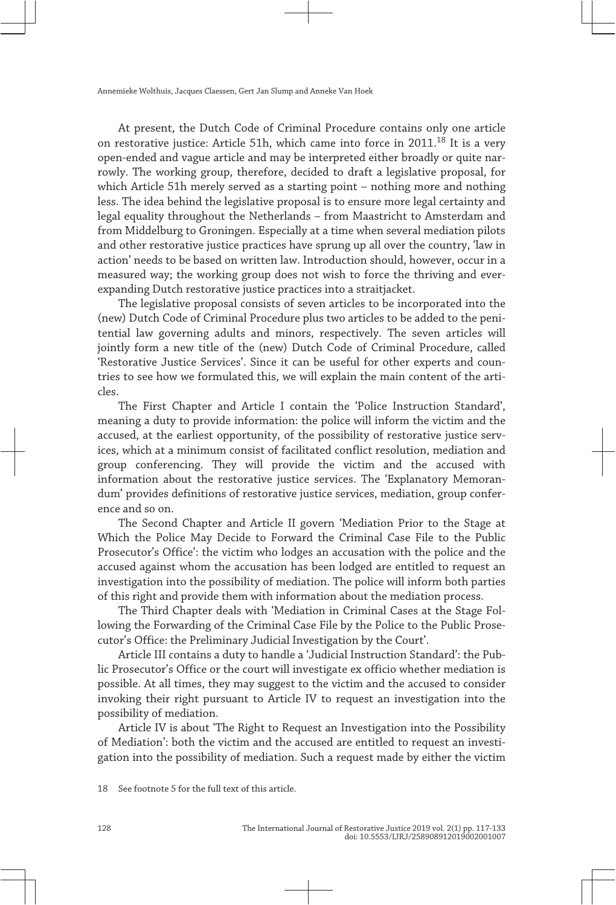At present, the Dutch Code of Criminal Procedure contains only one article on restorative justice: Article 51h, which came into force in 2011.<sup>18</sup> It is a very open-ended and vague article and may be interpreted either broadly or quite nar‐ rowly. The working group, therefore, decided to draft a legislative proposal, for which Article 51h merely served as a starting point – nothing more and nothing less. The idea behind the legislative proposal is to ensure more legal certainty and legal equality throughout the Netherlands – from Maastricht to Amsterdam and from Middelburg to Groningen. Especially at a time when several mediation pilots and other restorative justice practices have sprung up all over the country, 'law in action' needs to be based on written law. Introduction should, however, occur in a measured way; the working group does not wish to force the thriving and everexpanding Dutch restorative justice practices into a straitjacket.

The legislative proposal consists of seven articles to be incorporated into the (new) Dutch Code of Criminal Procedure plus two articles to be added to the peni‐ tential law governing adults and minors, respectively. The seven articles will jointly form a new title of the (new) Dutch Code of Criminal Procedure, called 'Restorative Justice Services'. Since it can be useful for other experts and coun‐ tries to see how we formulated this, we will explain the main content of the articles.

The First Chapter and Article I contain the 'Police Instruction Standard', meaning a duty to provide information: the police will inform the victim and the accused, at the earliest opportunity, of the possibility of restorative justice serv‐ ices, which at a minimum consist of facilitated conflict resolution, mediation and group conferencing. They will provide the victim and the accused with information about the restorative justice services. The 'Explanatory Memoran‐ dum' provides definitions of restorative justice services, mediation, group confer‐ ence and so on.

The Second Chapter and Article II govern 'Mediation Prior to the Stage at Which the Police May Decide to Forward the Criminal Case File to the Public Prosecutor's Office': the victim who lodges an accusation with the police and the accused against whom the accusation has been lodged are entitled to request an investigation into the possibility of mediation. The police will inform both parties of this right and provide them with information about the mediation process.

The Third Chapter deals with 'Mediation in Criminal Cases at the Stage Fol‐ lowing the Forwarding of the Criminal Case File by the Police to the Public Prose‐ cutor's Office: the Preliminary Judicial Investigation by the Court'.

Article III contains a duty to handle a 'Judicial Instruction Standard': the Pub‐ lic Prosecutor's Office or the court will investigate ex officio whether mediation is possible. At all times, they may suggest to the victim and the accused to consider invoking their right pursuant to Article IV to request an investigation into the possibility of mediation.

Article IV is about 'The Right to Request an Investigation into the Possibility of Mediation': both the victim and the accused are entitled to request an investigation into the possibility of mediation. Such a request made by either the victim

18 See footnote 5 for the full text of this article.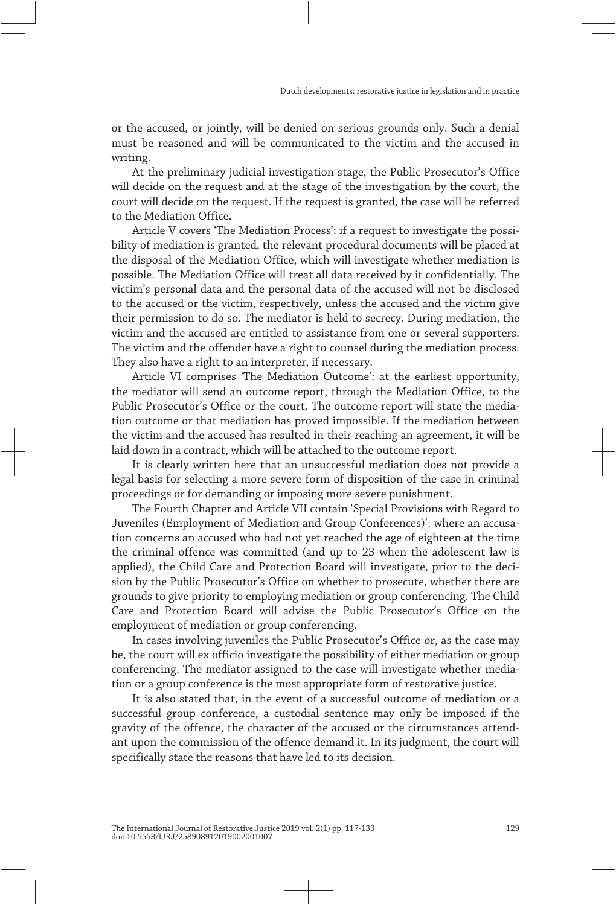or the accused, or jointly, will be denied on serious grounds only. Such a denial must be reasoned and will be communicated to the victim and the accused in writing.

At the preliminary judicial investigation stage, the Public Prosecutor's Office will decide on the request and at the stage of the investigation by the court, the court will decide on the request. If the request is granted, the case will be referred to the Mediation Office.

Article V covers 'The Mediation Process': if a request to investigate the possibility of mediation is granted, the relevant procedural documents will be placed at the disposal of the Mediation Office, which will investigate whether mediation is possible. The Mediation Office will treat all data received by it confidentially. The victim's personal data and the personal data of the accused will not be disclosed to the accused or the victim, respectively, unless the accused and the victim give their permission to do so. The mediator is held to secrecy. During mediation, the victim and the accused are entitled to assistance from one or several supporters. The victim and the offender have a right to counsel during the mediation process. They also have a right to an interpreter, if necessary.

Article VI comprises 'The Mediation Outcome': at the earliest opportunity, the mediator will send an outcome report, through the Mediation Office, to the Public Prosecutor's Office or the court. The outcome report will state the media‐ tion outcome or that mediation has proved impossible. If the mediation between the victim and the accused has resulted in their reaching an agreement, it will be laid down in a contract, which will be attached to the outcome report.

It is clearly written here that an unsuccessful mediation does not provide a legal basis for selecting a more severe form of disposition of the case in criminal proceedings or for demanding or imposing more severe punishment.

The Fourth Chapter and Article VII contain 'Special Provisions with Regard to Juveniles (Employment of Mediation and Group Conferences)': where an accusa‐ tion concerns an accused who had not yet reached the age of eighteen at the time the criminal offence was committed (and up to 23 when the adolescent law is applied), the Child Care and Protection Board will investigate, prior to the decision by the Public Prosecutor's Office on whether to prosecute, whether there are grounds to give priority to employing mediation or group conferencing. The Child Care and Protection Board will advise the Public Prosecutor's Office on the employment of mediation or group conferencing.

In cases involving juveniles the Public Prosecutor's Office or, as the case may be, the court will ex officio investigate the possibility of either mediation or group conferencing. The mediator assigned to the case will investigate whether media‐ tion or a group conference is the most appropriate form of restorative justice.

It is also stated that, in the event of a successful outcome of mediation or a successful group conference, a custodial sentence may only be imposed if the gravity of the offence, the character of the accused or the circumstances attend‐ ant upon the commission of the offence demand it. In its judgment, the court will specifically state the reasons that have led to its decision.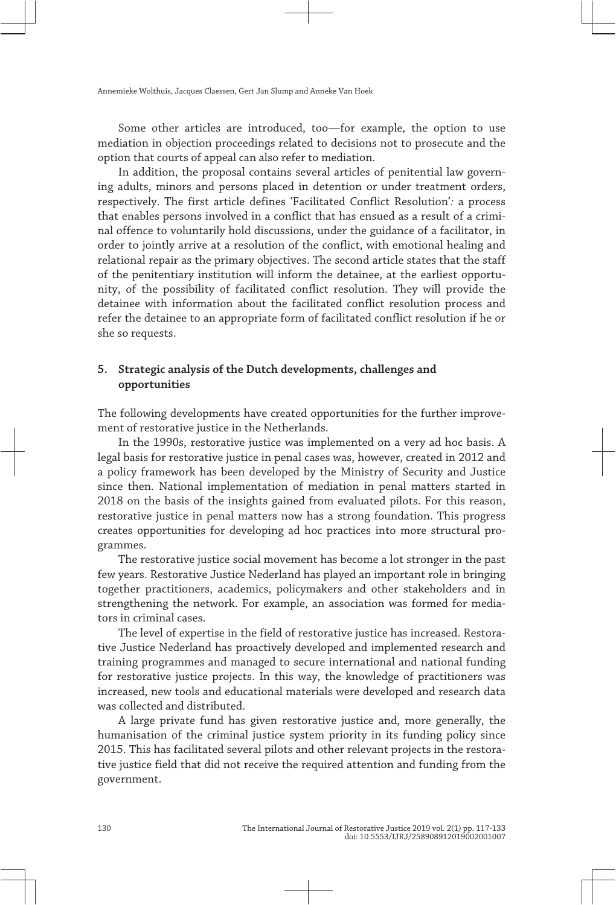Some other articles are introduced, too—for example, the option to use mediation in objection proceedings related to decisions not to prosecute and the option that courts of appeal can also refer to mediation.

In addition, the proposal contains several articles of penitential law governing adults, minors and persons placed in detention or under treatment orders, respectively. The first article defines 'Facilitated Conflict Resolution'*:* a process that enables persons involved in a conflict that has ensued as a result of a crimi‐ nal offence to voluntarily hold discussions, under the guidance of a facilitator, in order to jointly arrive at a resolution of the conflict, with emotional healing and relational repair as the primary objectives. The second article states that the staff of the penitentiary institution will inform the detainee, at the earliest opportunity, of the possibility of facilitated conflict resolution. They will provide the detainee with information about the facilitated conflict resolution process and refer the detainee to an appropriate form of facilitated conflict resolution if he or she so requests.

# **5. Strategic analysis of the Dutch developments, challenges and opportunities**

The following developments have created opportunities for the further improvement of restorative justice in the Netherlands.

In the 1990s, restorative justice was implemented on a very ad hoc basis. A legal basis for restorative justice in penal cases was, however, created in 2012 and a policy framework has been developed by the Ministry of Security and Justice since then. National implementation of mediation in penal matters started in 2018 on the basis of the insights gained from evaluated pilots. For this reason, restorative justice in penal matters now has a strong foundation. This progress creates opportunities for developing ad hoc practices into more structural pro‐ grammes.

The restorative justice social movement has become a lot stronger in the past few years. Restorative Justice Nederland has played an important role in bringing together practitioners, academics, policymakers and other stakeholders and in strengthening the network. For example, an association was formed for media‐ tors in criminal cases.

The level of expertise in the field of restorative justice has increased. Restorative Justice Nederland has proactively developed and implemented research and training programmes and managed to secure international and national funding for restorative justice projects. In this way, the knowledge of practitioners was increased, new tools and educational materials were developed and research data was collected and distributed.

A large private fund has given restorative justice and, more generally, the humanisation of the criminal justice system priority in its funding policy since 2015. This has facilitated several pilots and other relevant projects in the restora‐ tive justice field that did not receive the required attention and funding from the government.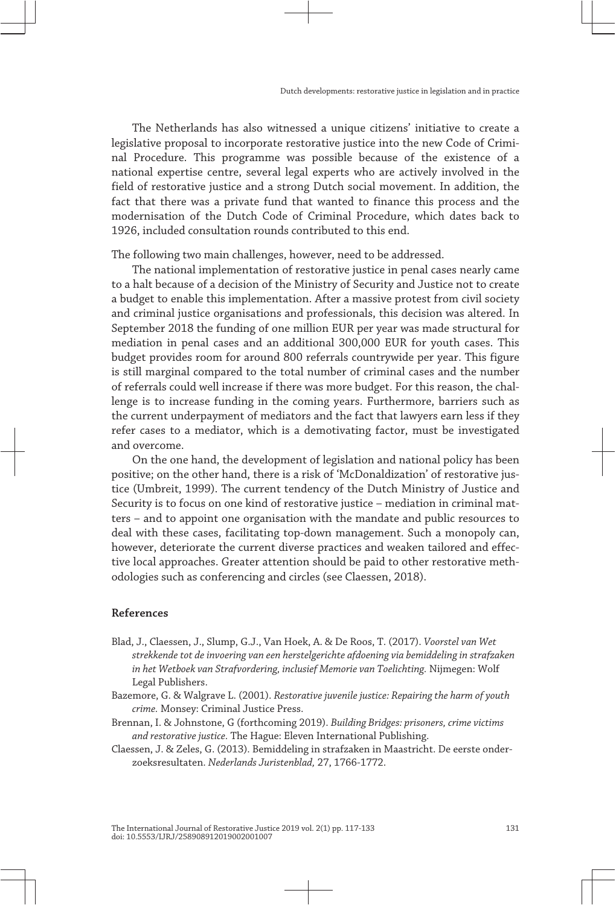The Netherlands has also witnessed a unique citizens' initiative to create a legislative proposal to incorporate restorative justice into the new Code of Crimi‐ nal Procedure. This programme was possible because of the existence of a national expertise centre, several legal experts who are actively involved in the field of restorative justice and a strong Dutch social movement. In addition, the fact that there was a private fund that wanted to finance this process and the modernisation of the Dutch Code of Criminal Procedure, which dates back to 1926, included consultation rounds contributed to this end.

The following two main challenges, however, need to be addressed.

The national implementation of restorative justice in penal cases nearly came to a halt because of a decision of the Ministry of Security and Justice not to create a budget to enable this implementation. After a massive protest from civil society and criminal justice organisations and professionals, this decision was altered. In September 2018 the funding of one million EUR per year was made structural for mediation in penal cases and an additional 300,000 EUR for youth cases. This budget provides room for around 800 referrals countrywide per year. This figure is still marginal compared to the total number of criminal cases and the number of referrals could well increase if there was more budget. For this reason, the challenge is to increase funding in the coming years. Furthermore, barriers such as the current underpayment of mediators and the fact that lawyers earn less if they refer cases to a mediator, which is a demotivating factor, must be investigated and overcome.

On the one hand, the development of legislation and national policy has been positive; on the other hand, there is a risk of 'McDonaldization' of restorative justice (Umbreit, 1999). The current tendency of the Dutch Ministry of Justice and Security is to focus on one kind of restorative justice – mediation in criminal mat‐ ters – and to appoint one organisation with the mandate and public resources to deal with these cases, facilitating top-down management. Such a monopoly can, however, deteriorate the current diverse practices and weaken tailored and effective local approaches. Greater attention should be paid to other restorative methodologies such as conferencing and circles (see Claessen, 2018).

## **References**

- Blad, J., Claessen, J., Slump, G.J., Van Hoek, A. & De Roos, T. (2017). *Voorstel van Wet strekkende tot de invoering van een herstelgerichte afdoening via bemiddeling in strafzaken in het Wetboek van Strafvordering, inclusief Memorie van Toelichting.* Nijmegen: Wolf Legal Publishers.
- Bazemore, G. & Walgrave L. (2001). *Restorative juvenile justice: Repairing the harm of youth crime.* Monsey: Criminal Justice Press.
- Brennan, I. & Johnstone, G (forthcoming 2019). *Building Bridges: prisoners, crime victims and restorative justice.* The Hague: Eleven International Publishing.
- Claessen, J. & Zeles, G. (2013). Bemiddeling in strafzaken in Maastricht. De eerste onder‐ zoeksresultaten. *Nederlands Juristenblad,* 27, 1766-1772.

The International Journal of Restorative Justice 2019 vol. 2(1) pp. 117-133 doi: 10.5553/IJRJ/258908912019002001007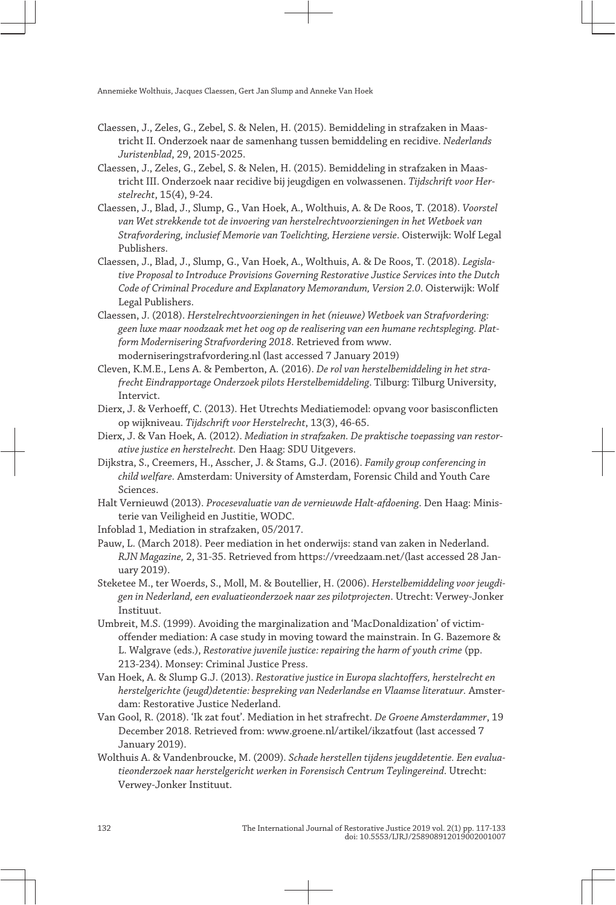- Claessen, J., Zeles, G., Zebel, S. & Nelen, H. (2015). Bemiddeling in strafzaken in Maas‐ tricht II. Onderzoek naar de samenhang tussen bemiddeling en recidive. *Nederlands Juristenblad*, 29, 2015-2025.
- Claessen, J., Zeles, G., Zebel, S. & Nelen, H. (2015). Bemiddeling in strafzaken in Maas‐ tricht III. Onderzoek naar recidive bij jeugdigen en volwassenen. *Tijdschrift voor Her‐ stelrecht*, 15(4), 9-24.
- Claessen, J., Blad, J., Slump, G., Van Hoek, A., Wolthuis, A. & De Roos, T. (2018). *Voorstel van Wet strekkende tot de invoering van herstelrechtvoorzieningen in het Wetboek van Strafvordering, inclusief Memorie van Toelichting, Herziene versie*. Oisterwijk: Wolf Legal Publishers.
- Claessen, J., Blad, J., Slump, G., Van Hoek, A., Wolthuis, A. & De Roos, T. (2018). *Legisla‐ tive Proposal to Introduce Provisions Governing Restorative Justice Services into the Dutch Code of Criminal Procedure and Explanatory Memorandum, Version 2.0*. Oisterwijk: Wolf Legal Publishers.
- Claessen, J. (2018). *Herstelrechtvoorzieningen in het (nieuwe) Wetboek van Strafvordering: geen luxe maar noodzaak met het oog op de realisering van een humane rechtspleging. Plat‐ form Modernisering Strafvordering 2018*. Retrieved from [www.](http://www.moderniseringstrafvordering.nl) [moderniseringstrafvordering. nl](http://www.moderniseringstrafvordering.nl) (last accessed 7 January 2019)
- Cleven, K.M.E., Lens A. & Pemberton, A. (2016). *De rol van herstelbemiddeling in het stra‐ frecht Eindrapportage Onderzoek pilots Herstelbemiddeling*. Tilburg: Tilburg University, Intervict.
- Dierx, J. & Verhoeff, C. (2013). Het Utrechts Mediatiemodel: opvang voor basisconflicten op wijkniveau. *Tijdschrift voor Herstelrecht*, 13(3), 46-65.
- Dierx, J. & Van Hoek, A. (2012). *Mediation in strafzaken. De praktische toepassing van restor‐ ative justice en herstelrecht.* Den Haag: SDU Uitgevers.
- Dijkstra, S., Creemers, H., Asscher, J. & Stams, G.J. (2016). *Family group conferencing in child welfare.* Amsterdam: University of Amsterdam, Forensic Child and Youth Care Sciences.
- Halt Vernieuwd (2013). *Procesevaluatie van de vernieuwde Halt-afdoening*. Den Haag: Minis‐ terie van Veiligheid en Justitie, WODC.

Infoblad 1, Mediation in strafzaken, 05/2017.

- Pauw, L. (March 2018). Peer mediation in het onderwijs: stand van zaken in Nederland. *RJN Magazine,* 2, 31-35. Retrieved from [https:// vreedzaam. net/](https://vreedzaam.net/) (last accessed 28 Jan‐ uary 2019).
- Steketee M., ter Woerds, S., Moll, M. & Boutellier, H. (2006). *Herstelbemiddeling voor jeugdi‐ gen in Nederland, een evaluatieonderzoek naar zes pilotprojecten*. Utrecht: Verwey-Jonker Instituut.
- Umbreit, M.S. (1999). Avoiding the marginalization and 'MacDonaldization' of victimoffender mediation: A case study in moving toward the mainstrain. In G. Bazemore & L. Walgrave (eds.), *Restorative juvenile justice: repairing the harm of youth crime* (pp. 213-234). Monsey: Criminal Justice Press.
- Van Hoek, A. & Slump G.J. (2013). *Restorative justice in Europa slachtoffers, herstelrecht en herstelgerichte (jeugd)detentie: bespreking van Nederlandse en Vlaamse literatuur.* Amster‐ dam: Restorative Justice Nederland.
- Van Gool, R. (2018). 'Ik zat fout'. Mediation in het strafrecht. *De Groene Amsterdammer*, 19 December 2018. Retrieved from: [www. groene. nl/ artikel/ ikzatfout](http://www.groene.nl/artikel/ikzatfout) (last accessed 7 January 2019).
- Wolthuis A. & Vandenbroucke, M. (2009). *Schade herstellen tijdens jeugddetentie. Een evalua‐ tieonderzoek naar herstelgericht werken in Forensisch Centrum Teylingereind*. Utrecht: Verwey-Jonker Instituut.